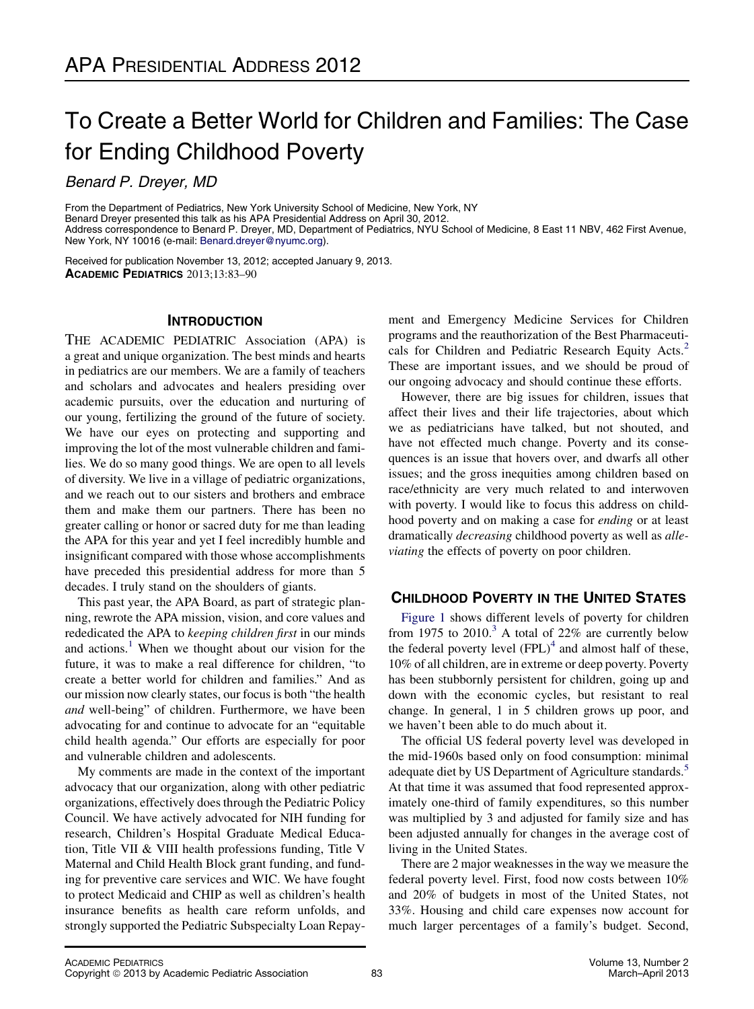## To Create a Better World for Children and Families: The Case for Ending Childhood Poverty

Benard P. Dreyer, MD

From the Department of Pediatrics, New York University School of Medicine, New York, NY Benard Dreyer presented this talk as his APA Presidential Address on April 30, 2012. Address correspondence to Benard P. Dreyer, MD, Department of Pediatrics, NYU School of Medicine, 8 East 11 NBV, 462 First Avenue, New York, NY 10016 (e-mail: [Benard.dreyer@nyumc.org](mailto:Benard.dreyer@nyumc.org)).

Received for publication November 13, 2012; accepted January 9, 2013. ACADEMIC PEDIATRICS 2013;13:83–90

### **INTRODUCTION**

THE ACADEMIC PEDIATRIC Association (APA) is a great and unique organization. The best minds and hearts in pediatrics are our members. We are a family of teachers and scholars and advocates and healers presiding over academic pursuits, over the education and nurturing of our young, fertilizing the ground of the future of society. We have our eyes on protecting and supporting and improving the lot of the most vulnerable children and families. We do so many good things. We are open to all levels of diversity. We live in a village of pediatric organizations, and we reach out to our sisters and brothers and embrace them and make them our partners. There has been no greater calling or honor or sacred duty for me than leading the APA for this year and yet I feel incredibly humble and insignificant compared with those whose accomplishments have preceded this presidential address for more than 5 decades. I truly stand on the shoulders of giants.

This past year, the APA Board, as part of strategic planning, rewrote the APA mission, vision, and core values and rededicated the APA to keeping children first in our minds and actions.<sup>[1](#page-7-0)</sup> When we thought about our vision for the future, it was to make a real difference for children, "to create a better world for children and families." And as our mission now clearly states, our focus is both "the health and well-being" of children. Furthermore, we have been advocating for and continue to advocate for an "equitable child health agenda." Our efforts are especially for poor and vulnerable children and adolescents.

My comments are made in the context of the important advocacy that our organization, along with other pediatric organizations, effectively does through the Pediatric Policy Council. We have actively advocated for NIH funding for research, Children's Hospital Graduate Medical Education, Title VII & VIII health professions funding, Title V Maternal and Child Health Block grant funding, and funding for preventive care services and WIC. We have fought to protect Medicaid and CHIP as well as children's health insurance benefits as health care reform unfolds, and strongly supported the Pediatric Subspecialty Loan Repay-

ment and Emergency Medicine Services for Children programs and the reauthorization of the Best Pharmaceuti-cals for Children and Pediatric Research Equity Acts.<sup>[2](#page-7-0)</sup> These are important issues, and we should be proud of our ongoing advocacy and should continue these efforts.

However, there are big issues for children, issues that affect their lives and their life trajectories, about which we as pediatricians have talked, but not shouted, and have not effected much change. Poverty and its consequences is an issue that hovers over, and dwarfs all other issues; and the gross inequities among children based on race/ethnicity are very much related to and interwoven with poverty. I would like to focus this address on childhood poverty and on making a case for ending or at least dramatically decreasing childhood poverty as well as alleviating the effects of poverty on poor children.

### **CHILDHOOD POVERTY IN THE UNITED STATES**

[Figure 1](#page-1-0) shows different levels of poverty for children from 1975 to  $2010<sup>3</sup>$  $2010<sup>3</sup>$  $2010<sup>3</sup>$  A total of 22% are currently below the federal poverty level  $(FPL)^4$  $(FPL)^4$  and almost half of these, 10% of all children, are in extreme or deep poverty. Poverty has been stubbornly persistent for children, going up and down with the economic cycles, but resistant to real change. In general, 1 in 5 children grows up poor, and we haven't been able to do much about it.

The official US federal poverty level was developed in the mid-1960s based only on food consumption: minimal adequate diet by US Department of Agriculture standards.<sup>[5](#page-7-0)</sup> At that time it was assumed that food represented approximately one-third of family expenditures, so this number was multiplied by 3 and adjusted for family size and has been adjusted annually for changes in the average cost of living in the United States.

There are 2 major weaknesses in the way we measure the federal poverty level. First, food now costs between 10% and 20% of budgets in most of the United States, not 33%. Housing and child care expenses now account for much larger percentages of a family's budget. Second,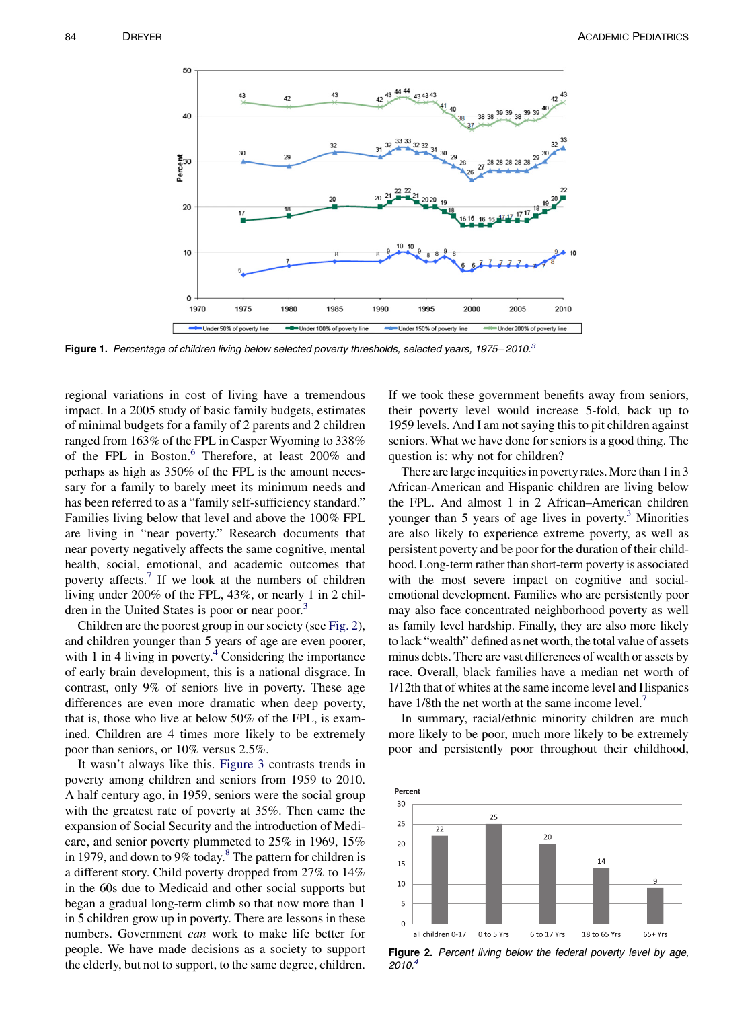<span id="page-1-0"></span>

Figure 1. Percentage of children living below selected poverty thresholds, selected years, 1975-2010.<sup>3</sup>

regional variations in cost of living have a tremendous impact. In a 2005 study of basic family budgets, estimates of minimal budgets for a family of 2 parents and 2 children ranged from 163% of the FPL in Casper Wyoming to 338% of the FPL in Boston.<sup>[6](#page-7-0)</sup> Therefore, at least 200% and perhaps as high as 350% of the FPL is the amount necessary for a family to barely meet its minimum needs and has been referred to as a "family self-sufficiency standard." Families living below that level and above the 100% FPL are living in "near poverty." Research documents that near poverty negatively affects the same cognitive, mental health, social, emotional, and academic outcomes that poverty affects.<sup>[7](#page-7-0)</sup> If we look at the numbers of children living under 200% of the FPL, 43%, or nearly 1 in 2 chil-dren in the United States is poor or near poor.<sup>[3](#page-7-0)</sup>

Children are the poorest group in our society (see Fig. 2), and children younger than 5 years of age are even poorer, with 1 in [4](#page-7-0) living in poverty. $4$  Considering the importance of early brain development, this is a national disgrace. In contrast, only 9% of seniors live in poverty. These age differences are even more dramatic when deep poverty, that is, those who live at below 50% of the FPL, is examined. Children are 4 times more likely to be extremely poor than seniors, or 10% versus 2.5%.

It wasn't always like this. [Figure 3](#page-2-0) contrasts trends in poverty among children and seniors from 1959 to 2010. A half century ago, in 1959, seniors were the social group with the greatest rate of poverty at 35%. Then came the expansion of Social Security and the introduction of Medicare, and senior poverty plummeted to 25% in 1969, 15% in 1979, and down to 9% today.<sup>[8](#page-7-0)</sup> The pattern for children is a different story. Child poverty dropped from 27% to 14% in the 60s due to Medicaid and other social supports but began a gradual long-term climb so that now more than 1 in 5 children grow up in poverty. There are lessons in these numbers. Government can work to make life better for people. We have made decisions as a society to support the elderly, but not to support, to the same degree, children.

If we took these government benefits away from seniors, their poverty level would increase 5-fold, back up to 1959 levels. And I am not saying this to pit children against seniors. What we have done for seniors is a good thing. The question is: why not for children?

There are large inequities in poverty rates. More than 1 in 3 African-American and Hispanic children are living below the FPL. And almost 1 in 2 African–American children younger than 5 years of age lives in poverty.<sup>3</sup> Minorities are also likely to experience extreme poverty, as well as persistent poverty and be poor for the duration of their childhood. Long-term rather than short-term poverty is associated with the most severe impact on cognitive and socialemotional development. Families who are persistently poor may also face concentrated neighborhood poverty as well as family level hardship. Finally, they are also more likely to lack "wealth" defined as net worth, the total value of assets minus debts. There are vast differences of wealth or assets by race. Overall, black families have a median net worth of 1/12th that of whites at the same income level and Hispanics have 1/8th the net worth at the same income level.<sup>7</sup>

In summary, racial/ethnic minority children are much more likely to be poor, much more likely to be extremely poor and persistently poor throughout their childhood,



Figu[re](#page-7-0) 2. Percent living below the federal poverty level by age, 2010.4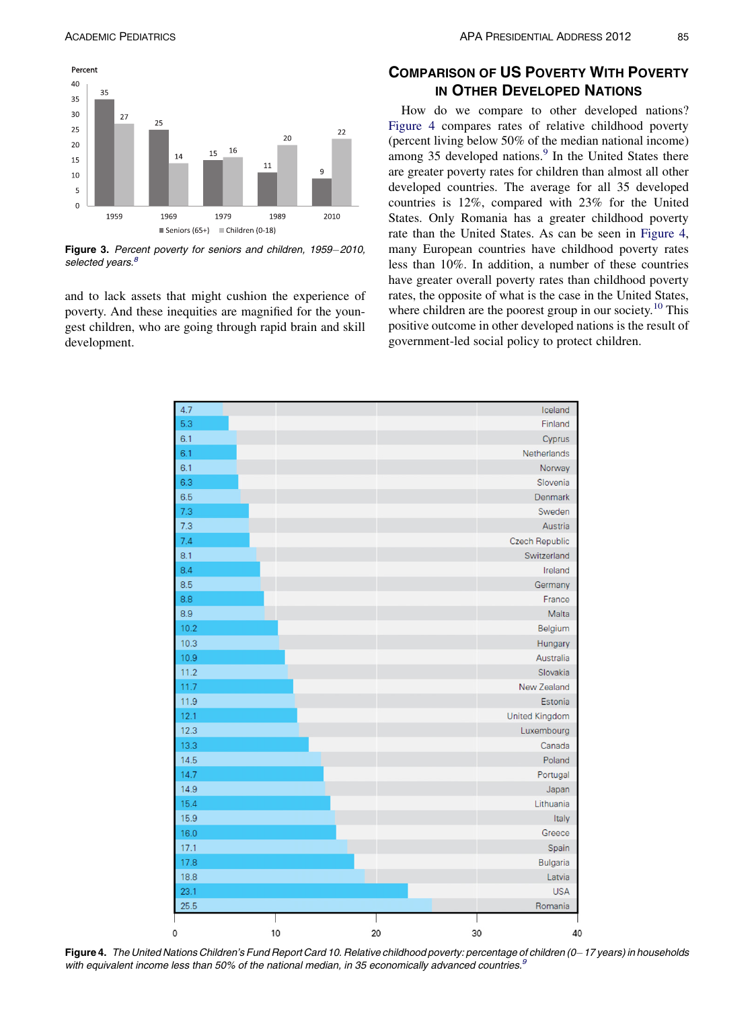<span id="page-2-0"></span>

Figure 3. Percent poverty for seniors and children, 1959-2010, selected years.<sup>[8](#page-7-0)</sup>

and to lack assets that might cushion the experience of poverty. And these inequities are magnified for the youngest children, who are going through rapid brain and skill development.

# **COMPARISON OF US POVERTY WITH POVERTY**<br>IN OTHER DEVELOPED NATIONS

How do we compare to other developed nations? Figure 4 compares rates of relative childhood poverty (percent living below 50% of the median national income) among 35 developed nations.<sup>[9](#page-7-0)</sup> In the United States there are greater poverty rates for children than almost all other developed countries. The average for all 35 developed countries is 12%, compared with 23% for the United States. Only Romania has a greater childhood poverty rate than the United States. As can be seen in Figure 4, many European countries have childhood poverty rates less than 10%. In addition, a number of these countries have greater overall poverty rates than childhood poverty rates, the opposite of what is the case in the United States, where children are the poorest group in our society.<sup>[10](#page-7-0)</sup> This positive outcome in other developed nations is the result of government-led social policy to protect children.



Figure 4. The United Nations Children's Fund Report Card 10. Relative childhood poverty: percentage of children (0-17 years) in households with equivalent income less than 50% of the national median, in 35 economically advanced countries.<sup>[9](#page-7-0)</sup>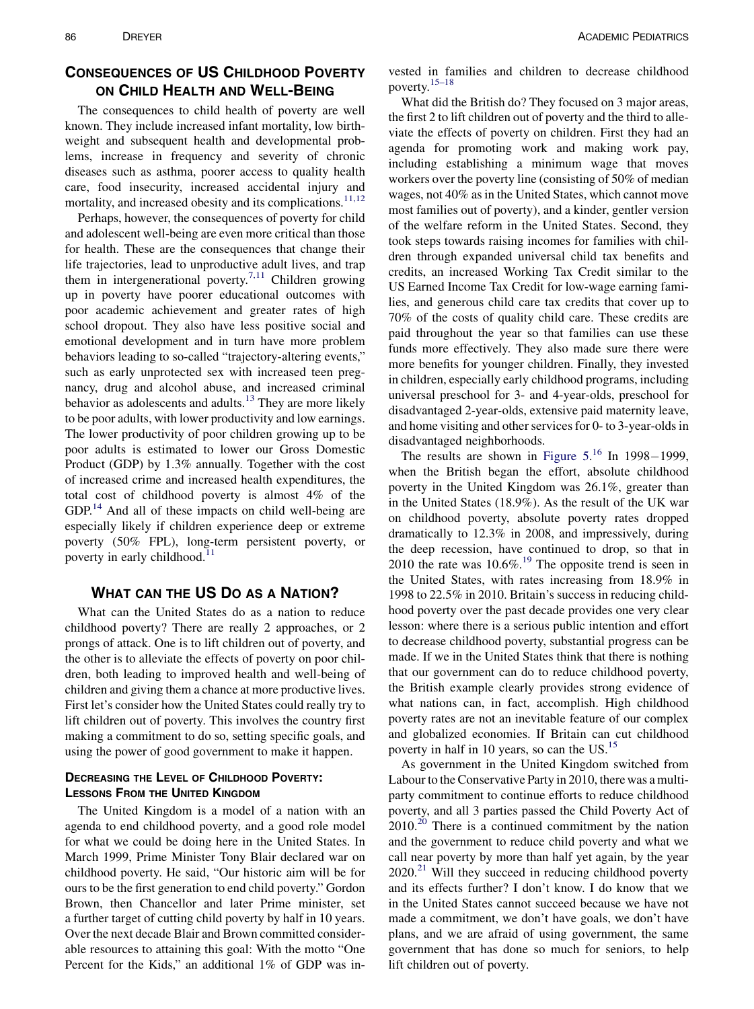# **CONSEQUENCES OF US CHILDHOOD POVERTY<br>ON CHILD HEALTH AND WELL-BEING**

The consequences to child health of poverty are well known. They include increased infant mortality, low birthweight and subsequent health and developmental problems, increase in frequency and severity of chronic diseases such as asthma, poorer access to quality health care, food insecurity, increased accidental injury and mortality, and increased obesity and its complications.<sup>[11,12](#page-7-0)</sup>

Perhaps, however, the consequences of poverty for child and adolescent well-being are even more critical than those for health. These are the consequences that change their life trajectories, lead to unproductive adult lives, and trap them in intergenerational poverty.<sup>[7,11](#page-7-0)</sup> Children growing up in poverty have poorer educational outcomes with poor academic achievement and greater rates of high school dropout. They also have less positive social and emotional development and in turn have more problem behaviors leading to so-called "trajectory-altering events," such as early unprotected sex with increased teen pregnancy, drug and alcohol abuse, and increased criminal behavior as adolescents and adults.<sup>[13](#page-7-0)</sup> They are more likely to be poor adults, with lower productivity and low earnings. The lower productivity of poor children growing up to be poor adults is estimated to lower our Gross Domestic Product (GDP) by 1.3% annually. Together with the cost of increased crime and increased health expenditures, the total cost of childhood poverty is almost 4% of the GDP.<sup>[14](#page-7-0)</sup> And all of these impacts on child well-being are especially likely if children experience deep or extreme poverty (50% FPL), long-term persistent poverty, or poverty in early childhood.<sup>[11](#page-7-0)</sup>

What can the United States do as a nation to reduce childhood poverty? There are really 2 approaches, or 2 prongs of attack. One is to lift children out of poverty, and the other is to alleviate the effects of poverty on poor children, both leading to improved health and well-being of children and giving them a chance at more productive lives. First let's consider how the United States could really try to lift children out of poverty. This involves the country first making a commitment to do so, setting specific goals, and using the power of good government to make it happen.

## **DECREASING THE LEVEL OF CHILDHOOD POVERTY:**<br>LESSONS FROM THE UNITED KINGDOM

The United Kingdom is a model of a nation with an agenda to end childhood poverty, and a good role model for what we could be doing here in the United States. In March 1999, Prime Minister Tony Blair declared war on childhood poverty. He said, "Our historic aim will be for ours to be the first generation to end child poverty." Gordon Brown, then Chancellor and later Prime minister, set a further target of cutting child poverty by half in 10 years. Over the next decade Blair and Brown committed considerable resources to attaining this goal: With the motto "One Percent for the Kids," an additional 1% of GDP was in-

vested in families and children to decrease childhood poverty.[15–18](#page-7-0)

What did the British do? They focused on 3 major areas, the first 2 to lift children out of poverty and the third to alleviate the effects of poverty on children. First they had an agenda for promoting work and making work pay, including establishing a minimum wage that moves workers over the poverty line (consisting of 50% of median wages, not 40% as in the United States, which cannot move most families out of poverty), and a kinder, gentler version of the welfare reform in the United States. Second, they took steps towards raising incomes for families with children through expanded universal child tax benefits and credits, an increased Working Tax Credit similar to the US Earned Income Tax Credit for low-wage earning families, and generous child care tax credits that cover up to 70% of the costs of quality child care. These credits are paid throughout the year so that families can use these funds more effectively. They also made sure there were more benefits for younger children. Finally, they invested in children, especially early childhood programs, including universal preschool for 3- and 4-year-olds, preschool for disadvantaged 2-year-olds, extensive paid maternity leave, and home visiting and other services for 0- to 3-year-olds in disadvantaged neighborhoods.

The results are shown in Figure  $5^{16}$  $5^{16}$  $5^{16}$  In 1998–1999, when the British began the effort, absolute childhood poverty in the United Kingdom was 26.1%, greater than in the United States (18.9%). As the result of the UK war on childhood poverty, absolute poverty rates dropped dramatically to 12.3% in 2008, and impressively, during the deep recession, have continued to drop, so that in 2010 the rate was  $10.6\%$ .<sup>[19](#page-7-0)</sup> The opposite trend is seen in the United States, with rates increasing from 18.9% in 1998 to 22.5% in 2010. Britain's success in reducing childhood poverty over the past decade provides one very clear lesson: where there is a serious public intention and effort to decrease childhood poverty, substantial progress can be made. If we in the United States think that there is nothing that our government can do to reduce childhood poverty, the British example clearly provides strong evidence of what nations can, in fact, accomplish. High childhood poverty rates are not an inevitable feature of our complex and globalized economies. If Britain can cut childhood poverty in half in 10 years, so can the US.<sup>[15](#page-7-0)</sup>

As government in the United Kingdom switched from Labour to the Conservative Party in 2010, there was a multiparty commitment to continue efforts to reduce childhood poverty, and all 3 parties passed the Child Poverty Act of 2010.[20](#page-7-0) There is a continued commitment by the nation and the government to reduce child poverty and what we call near poverty by more than half yet again, by the year  $2020$ <sup>[21](#page-7-0)</sup> Will they succeed in reducing childhood poverty and its effects further? I don't know. I do know that we in the United States cannot succeed because we have not made a commitment, we don't have goals, we don't have plans, and we are afraid of using government, the same government that has done so much for seniors, to help lift children out of poverty.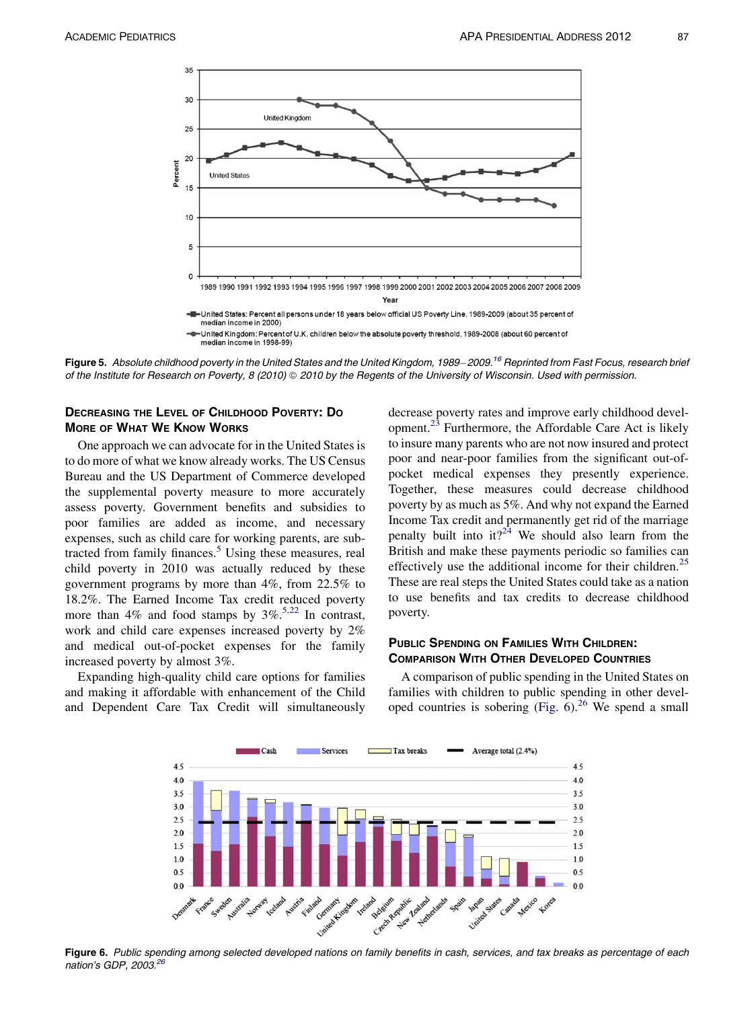<span id="page-4-0"></span>

Figure 5. Absolute childhood poverty in the United States and the United Kingdom, 1989-2009.<sup>16</sup> Reprinted from Fast Focus, research brief of the Institute for Research on Poverty, 8 (2010) @ 2010 by the Regents of the University of Wisconsin. Used with permission.

### **DECREASING THE LEVEL OF CHILDHOOD POVERTY: DO MORE OF WHAT WE KNOW WORKS**

One approach we can advocate for in the United States is to do more of what we know already works. The US Census Bureau and the US Department of Commerce developed the supplemental poverty measure to more accurately assess poverty. Government benefits and subsidies to poor families are added as income, and necessary expenses, such as child care for working parents, are subtracted from family finances. $5$  Using these measures, real child poverty in 2010 was actually reduced by these government programs by more than 4%, from 22.5% to 18.2%. The Earned Income Tax credit reduced poverty more than 4% and food stamps by  $3\%$ .<sup>[5,22](#page-7-0)</sup> In contrast, work and child care expenses increased poverty by 2% and medical out-of-pocket expenses for the family increased poverty by almost 3%.

Expanding high-quality child care options for families and making it affordable with enhancement of the Child and Dependent Care Tax Credit will simultaneously

decrease poverty rates and improve early childhood devel-opment.<sup>[23](#page-7-0)</sup> Furthermore, the Affordable Care Act is likely to insure many parents who are not now insured and protect poor and near-poor families from the significant out-ofpocket medical expenses they presently experience. Together, these measures could decrease childhood poverty by as much as 5%. And why not expand the Earned Income Tax credit and permanently get rid of the marriage penalty built into it?<sup>[24](#page-7-0)</sup> We should also learn from the British and make these payments periodic so families can effectively use the additional income for their children.<sup>[25](#page-7-0)</sup> These are real steps the United States could take as a nation to use benefits and tax credits to decrease childhood poverty.

### **PUBLIC SPENDING ON FAMILIES WITH CHILDREN:** COMPARISON WITH OTHER DEVELOPED COUNTRIES

A comparison of public spending in the United States on families with children to public spending in other developed countries is sobering (Fig.  $6$ ).<sup>[26](#page-7-0)</sup> We spend a small



Figure 6. Public spending among selected developed nations on family benefits in cash, services, and tax breaks as percentage of each nation's GDP, 2003.<sup>26</sup>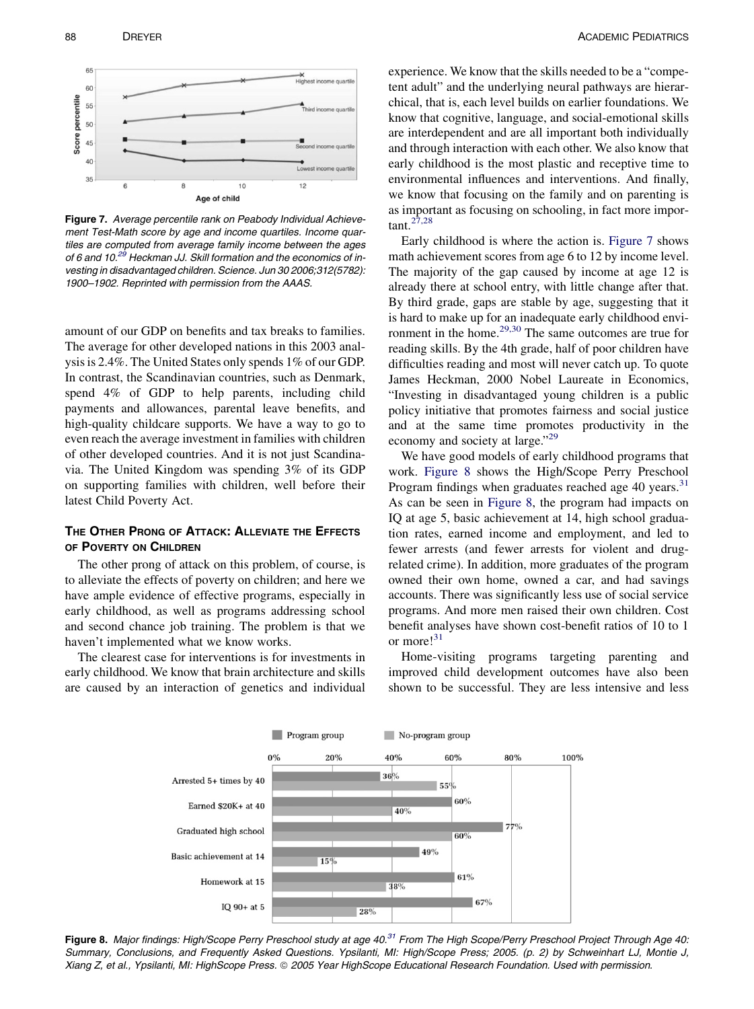

Figure 7. Average percentile rank on Peabody Individual Achievement Test-Math score by age and income quartiles. Income quartiles are computed from average family income between the ages of 6 and 10.<sup>29</sup> Heckman JJ. Skill formation and the economics of investing in disadvantaged children. Science. Jun 30 2006;312(5782): 1900–1902. Reprinted with permission from the AAAS.

amount of our GDP on benefits and tax breaks to families. The average for other developed nations in this 2003 analysis is 2.4%. The United States only spends 1% of our GDP. In contrast, the Scandinavian countries, such as Denmark, spend 4% of GDP to help parents, including child payments and allowances, parental leave benefits, and high-quality childcare supports. We have a way to go to even reach the average investment in families with children of other developed countries. And it is not just Scandinavia. The United Kingdom was spending 3% of its GDP on supporting families with children, well before their latest Child Poverty Act.

## THE OTHER PRONG OF ATTACK: ALLEVIATE THE EFFECTS<br>OF POVERTY ON CHILDREN

The other prong of attack on this problem, of course, is to alleviate the effects of poverty on children; and here we have ample evidence of effective programs, especially in early childhood, as well as programs addressing school and second chance job training. The problem is that we haven't implemented what we know works.

The clearest case for interventions is for investments in early childhood. We know that brain architecture and skills are caused by an interaction of genetics and individual experience. We know that the skills needed to be a "competent adult" and the underlying neural pathways are hierarchical, that is, each level builds on earlier foundations. We know that cognitive, language, and social-emotional skills are interdependent and are all important both individually and through interaction with each other. We also know that early childhood is the most plastic and receptive time to environmental influences and interventions. And finally, we know that focusing on the family and on parenting is as important as focusing on schooling, in fact more important. $27,28$ 

Early childhood is where the action is. Figure 7 shows math achievement scores from age 6 to 12 by income level. The majority of the gap caused by income at age 12 is already there at school entry, with little change after that. By third grade, gaps are stable by age, suggesting that it is hard to make up for an inadequate early childhood environment in the home.[29,30](#page-7-0) The same outcomes are true for reading skills. By the 4th grade, half of poor children have difficulties reading and most will never catch up. To quote James Heckman, 2000 Nobel Laureate in Economics, "Investing in disadvantaged young children is a public policy initiative that promotes fairness and social justice and at the same time promotes productivity in the economy and society at large."[29](#page-7-0)

We have good models of early childhood programs that work. Figure 8 shows the High/Scope Perry Preschool Program findings when graduates reached age 40 years.<sup>[31](#page-7-0)</sup> As can be seen in Figure 8, the program had impacts on IQ at age 5, basic achievement at 14, high school graduation rates, earned income and employment, and led to fewer arrests (and fewer arrests for violent and drugrelated crime). In addition, more graduates of the program owned their own home, owned a car, and had savings accounts. There was significantly less use of social service programs. And more men raised their own children. Cost benefit analyses have shown cost-benefit ratios of 10 to 1 or more!<sup>[31](#page-7-0)</sup>

Home-visiting programs targeting parenting and improved child development outcomes have also been shown to be successful. They are less intensive and less



Figure 8. Major findings: High/Scope Perry Preschool study at age 40.<sup>[31](#page-7-0)</sup> From The High Scope/Perry Preschool Project Through Age 40: Summary, Conclusions, and Frequently Asked Questions. Ypsilanti, MI: High/Scope Press; 2005. (p. 2) by Schweinhart LJ, Montie J, Xiang Z, et al., Ypsilanti, MI: HighScope Press. © 2005 Year HighScope Educational Research Foundation. Used with permission.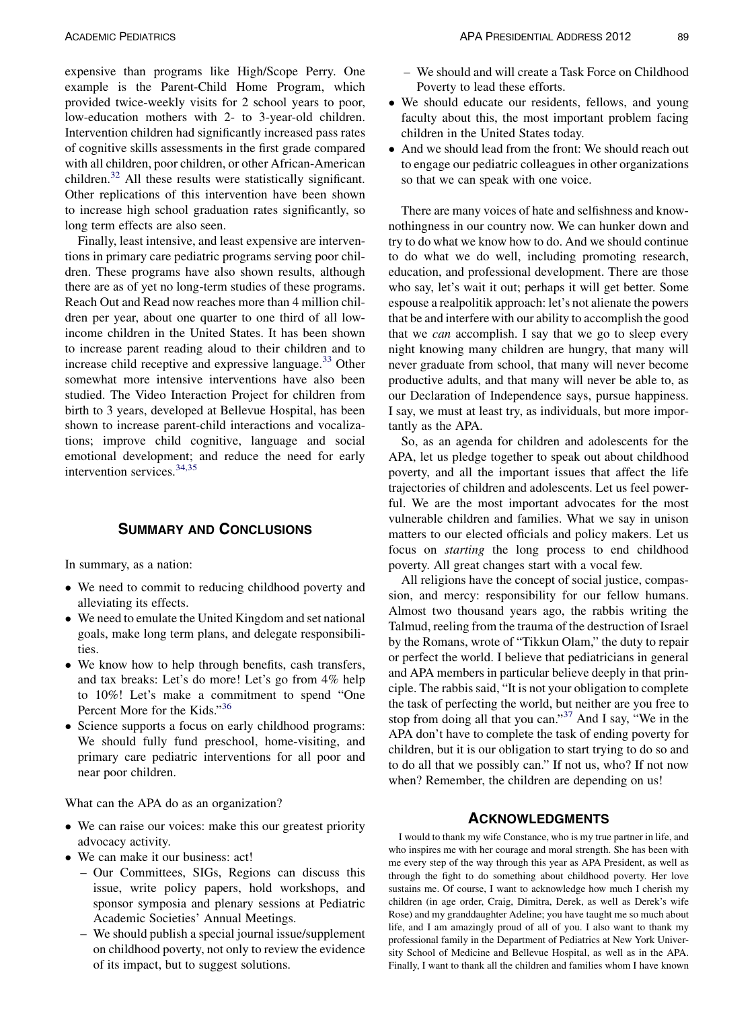expensive than programs like High/Scope Perry. One example is the Parent-Child Home Program, which provided twice-weekly visits for 2 school years to poor, low-education mothers with 2- to 3-year-old children. Intervention children had significantly increased pass rates of cognitive skills assessments in the first grade compared with all children, poor children, or other African-American children.<sup>[32](#page-7-0)</sup> All these results were statistically significant. Other replications of this intervention have been shown to increase high school graduation rates significantly, so long term effects are also seen.

Finally, least intensive, and least expensive are interventions in primary care pediatric programs serving poor children. These programs have also shown results, although there are as of yet no long-term studies of these programs. Reach Out and Read now reaches more than 4 million children per year, about one quarter to one third of all lowincome children in the United States. It has been shown to increase parent reading aloud to their children and to increase child receptive and expressive language.<sup>[33](#page-7-0)</sup> Other somewhat more intensive interventions have also been studied. The Video Interaction Project for children from birth to 3 years, developed at Bellevue Hospital, has been shown to increase parent-child interactions and vocalizations; improve child cognitive, language and social emotional development; and reduce the need for early intervention services.[34,35](#page-7-0)

#### **SUMMARY AND CONCLUSIONS** SUMMARY AND CONCLUSIONS

In summary, as a nation:

- We need to commit to reducing childhood poverty and alleviating its effects.
- We need to emulate the United Kingdom and set national goals, make long term plans, and delegate responsibilities.
- We know how to help through benefits, cash transfers, and tax breaks: Let's do more! Let's go from 4% help to 10%! Let's make a commitment to spend "One Percent More for the Kids."<sup>[36](#page-7-0)</sup>
- Science supports a focus on early childhood programs: We should fully fund preschool, home-visiting, and primary care pediatric interventions for all poor and near poor children.

What can the APA do as an organization?

- We can raise our voices: make this our greatest priority advocacy activity.
- We can make it our business: act!
	- Our Committees, SIGs, Regions can discuss this issue, write policy papers, hold workshops, and sponsor symposia and plenary sessions at Pediatric Academic Societies' Annual Meetings.
	- We should publish a special journal issue/supplement on childhood poverty, not only to review the evidence of its impact, but to suggest solutions.
- We should and will create a Task Force on Childhood Poverty to lead these efforts.
- We should educate our residents, fellows, and young faculty about this, the most important problem facing children in the United States today.
- And we should lead from the front: We should reach out to engage our pediatric colleagues in other organizations so that we can speak with one voice.

There are many voices of hate and selfishness and knownothingness in our country now. We can hunker down and try to do what we know how to do. And we should continue to do what we do well, including promoting research, education, and professional development. There are those who say, let's wait it out; perhaps it will get better. Some espouse a realpolitik approach: let's not alienate the powers that be and interfere with our ability to accomplish the good that we *can* accomplish. I say that we go to sleep every night knowing many children are hungry, that many will never graduate from school, that many will never become productive adults, and that many will never be able to, as our Declaration of Independence says, pursue happiness. I say, we must at least try, as individuals, but more importantly as the APA.

So, as an agenda for children and adolescents for the APA, let us pledge together to speak out about childhood poverty, and all the important issues that affect the life trajectories of children and adolescents. Let us feel powerful. We are the most important advocates for the most vulnerable children and families. What we say in unison matters to our elected officials and policy makers. Let us focus on starting the long process to end childhood poverty. All great changes start with a vocal few.

All religions have the concept of social justice, compassion, and mercy: responsibility for our fellow humans. Almost two thousand years ago, the rabbis writing the Talmud, reeling from the trauma of the destruction of Israel by the Romans, wrote of "Tikkun Olam," the duty to repair or perfect the world. I believe that pediatricians in general and APA members in particular believe deeply in that principle. The rabbis said, "It is not your obligation to complete the task of perfecting the world, but neither are you free to stop from doing all that you can."<sup>[37](#page-7-0)</sup> And I say, "We in the APA don't have to complete the task of ending poverty for children, but it is our obligation to start trying to do so and to do all that we possibly can." If not us, who? If not now when? Remember, the children are depending on us!

I would to thank my wife Constance, who is my true partner in life, and who inspires me with her courage and moral strength. She has been with me every step of the way through this year as APA President, as well as through the fight to do something about childhood poverty. Her love sustains me. Of course, I want to acknowledge how much I cherish my children (in age order, Craig, Dimitra, Derek, as well as Derek's wife Rose) and my granddaughter Adeline; you have taught me so much about life, and I am amazingly proud of all of you. I also want to thank my professional family in the Department of Pediatrics at New York University School of Medicine and Bellevue Hospital, as well as in the APA. Finally, I want to thank all the children and families whom I have known